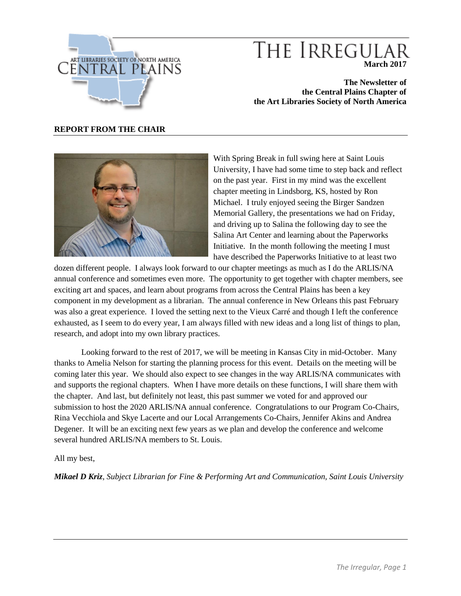

# THE IRREGULA **March 2017**

**The Newsletter of the Central Plains Chapter of the Art Libraries Society of North America**

#### **REPORT FROM THE CHAIR**



With Spring Break in full swing here at Saint Louis University, I have had some time to step back and reflect on the past year. First in my mind was the excellent chapter meeting in Lindsborg, KS, hosted by Ron Michael. I truly enjoyed seeing the Birger Sandzen Memorial Gallery, the presentations we had on Friday, and driving up to Salina the following day to see the Salina Art Center and learning about the Paperworks Initiative. In the month following the meeting I must have described the Paperworks Initiative to at least two

dozen different people. I always look forward to our chapter meetings as much as I do the ARLIS/NA annual conference and sometimes even more. The opportunity to get together with chapter members, see exciting art and spaces, and learn about programs from across the Central Plains has been a key component in my development as a librarian. The annual conference in New Orleans this past February was also a great experience. I loved the setting next to the Vieux Carré and though I left the conference exhausted, as I seem to do every year, I am always filled with new ideas and a long list of things to plan, research, and adopt into my own library practices.

Looking forward to the rest of 2017, we will be meeting in Kansas City in mid-October. Many thanks to Amelia Nelson for starting the planning process for this event. Details on the meeting will be coming later this year. We should also expect to see changes in the way ARLIS/NA communicates with and supports the regional chapters. When I have more details on these functions, I will share them with the chapter. And last, but definitely not least, this past summer we voted for and approved our submission to host the 2020 ARLIS/NA annual conference. Congratulations to our Program Co-Chairs, Rina Vecchiola and Skye Lacerte and our Local Arrangements Co-Chairs, Jennifer Akins and Andrea Degener. It will be an exciting next few years as we plan and develop the conference and welcome several hundred ARLIS/NA members to St. Louis.

All my best,

*Mikael D Kriz*, *Subject Librarian for Fine & Performing Art and Communication, Saint Louis University*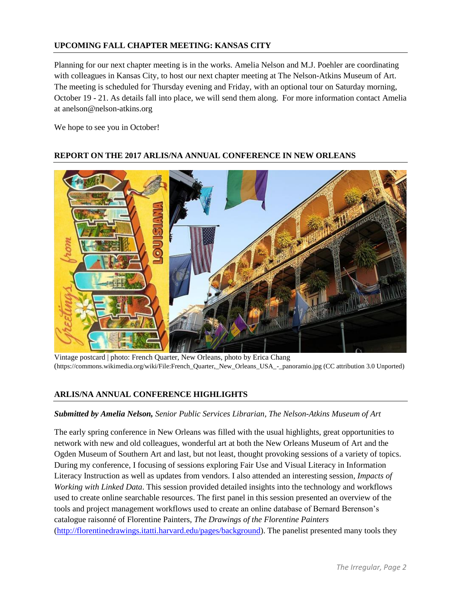# **UPCOMING FALL CHAPTER MEETING: KANSAS CITY**

Planning for our next chapter meeting is in the works. Amelia Nelson and M.J. Poehler are coordinating with colleagues in Kansas City, to host our next chapter meeting at The Nelson-Atkins Museum of Art. The meeting is scheduled for Thursday evening and Friday, with an optional tour on Saturday morning, October 19 - 21. As details fall into place, we will send them along. For more information contact Amelia at anelson@nelson-atkins.org

We hope to see you in October!

# **REPORT ON THE 2017 ARLIS/NA ANNUAL CONFERENCE IN NEW ORLEANS**

Vintage postcard | photo: French Quarter, New Orleans, photo by Erica Chang (https://commons.wikimedia.org/wiki/File:French\_Quarter,\_New\_Orleans\_USA\_-\_panoramio.jpg (CC attribution 3.0 Unported)

### **ARLIS/NA ANNUAL CONFERENCE HIGHLIGHTS**

### *Submitted by Amelia Nelson, Senior Public Services Librarian, The Nelson-Atkins Museum of Art*

The early spring conference in New Orleans was filled with the usual highlights, great opportunities to network with new and old colleagues, wonderful art at both the New Orleans Museum of Art and the Ogden Museum of Southern Art and last, but not least, thought provoking sessions of a variety of topics. During my conference, I focusing of sessions exploring Fair Use and Visual Literacy in Information Literacy Instruction as well as updates from vendors. I also attended an interesting session*, Impacts of Working with Linked Data*. This session provided detailed insights into the technology and workflows used to create online searchable resources. The first panel in this session presented an overview of the tools and project management workflows used to create an online database of Bernard Berenson's catalogue raisonné of Florentine Painters, *The Drawings of the Florentine Painters* [\(http://florentinedrawings.itatti.harvard.edu/pages/background\)](http://florentinedrawings.itatti.harvard.edu/pages/background). The panelist presented many tools they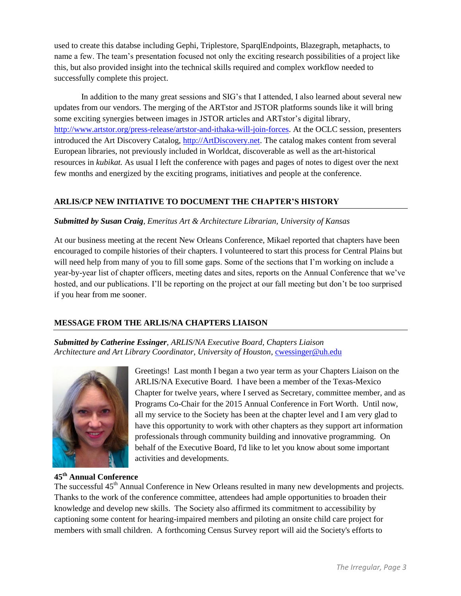used to create this databse including Gephi, Triplestore, SparqlEndpoints, Blazegraph, metaphacts, to name a few. The team's presentation focused not only the exciting research possibilities of a project like this, but also provided insight into the technical skills required and complex workflow needed to successfully complete this project.

In addition to the many great sessions and SIG's that I attended, I also learned about several new updates from our vendors. The merging of the ARTstor and JSTOR platforms sounds like it will bring some exciting synergies between images in JSTOR articles and ARTstor's digital library, [http://www.artstor.org/press-release/artstor-and-ithaka-will-join-forces.](http://www.artstor.org/press-release/artstor-and-ithaka-will-join-forces) At the OCLC session, presenters introduced the Art Discovery Catalog, [http://ArtDiscovery.net.](http://artdiscovery.net/) The catalog makes content from several European libraries, not previously included in Worldcat, discoverable as well as the art-historical resources in *kubikat.* As usual I left the conference with pages and pages of notes to digest over the next few months and energized by the exciting programs, initiatives and people at the conference.

# **ARLIS/CP NEW INITIATIVE TO DOCUMENT THE CHAPTER'S HISTORY**

### *Submitted by Susan Craig, Emeritus Art & Architecture Librarian, University of Kansas*

At our business meeting at the recent New Orleans Conference, Mikael reported that chapters have been encouraged to compile histories of their chapters. I volunteered to start this process for Central Plains but will need help from many of you to fill some gaps. Some of the sections that I'm working on include a year-by-year list of chapter officers, meeting dates and sites, reports on the Annual Conference that we've hosted, and our publications. I'll be reporting on the project at our fall meeting but don't be too surprised if you hear from me sooner.

# **MESSAGE FROM THE ARLIS/NA CHAPTERS LIAISON**

*Submitted by Catherine Essinger*, *ARLIS/NA Executive Board, Chapters Liaison Architecture and Art Library Coordinator, University of Houston,* [cwessinger@uh.edu](mailto:cwessinger@uh.edu)



Greetings! Last month I began a two year term as your Chapters Liaison on the ARLIS/NA Executive Board. I have been a member of the Texas-Mexico Chapter for twelve years, where I served as Secretary, committee member, and as Programs Co-Chair for the 2015 Annual Conference in Fort Worth. Until now, all my service to the Society has been at the chapter level and I am very glad to have this opportunity to work with other chapters as they support art information professionals through community building and innovative programming. On behalf of the Executive Board, I'd like to let you know about some important activities and developments.

#### **45th Annual Conference**

The successful 45<sup>th</sup> Annual Conference in New Orleans resulted in many new developments and projects. Thanks to the work of the conference committee, attendees had ample opportunities to broaden their knowledge and develop new skills. The Society also affirmed its commitment to accessibility by captioning some content for hearing-impaired members and piloting an onsite child care project for members with small children. A forthcoming Census Survey report will aid the Society's efforts to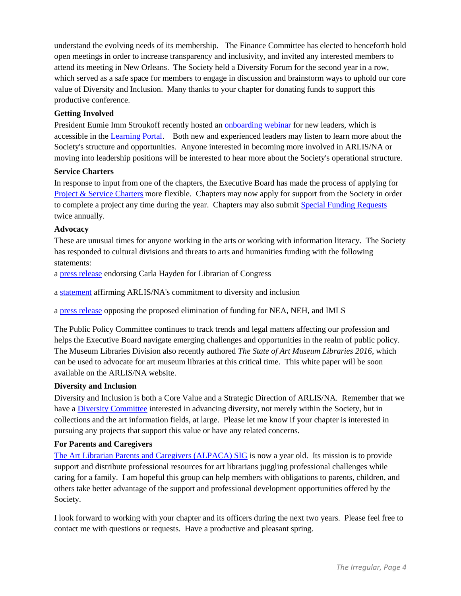understand the evolving needs of its membership. The Finance Committee has elected to henceforth hold open meetings in order to increase transparency and inclusivity, and invited any interested members to attend its meeting in New Orleans. The Society held a Diversity Forum for the second year in a row, which served as a safe space for members to engage in discussion and brainstorm ways to uphold our core value of Diversity and Inclusion. Many thanks to your chapter for donating funds to support this productive conference.

#### **Getting Involved**

President Eumie Imm Stroukoff recently hosted an **onboarding webinar** for new leaders, which is accessible in the [Learning Portal.](https://www.pathlms.com/arlisna) Both new and experienced leaders may listen to learn more about the Society's structure and opportunities. Anyone interested in becoming more involved in ARLIS/NA or moving into leadership positions will be interested to hear more about the Society's operational structure.

#### **Service Charters**

In response to input from one of the chapters, the Executive Board has made the process of applying for [Project & Service Charters](https://view.officeapps.live.com/op/view.aspx?src=https://arlisna.org/images/admindocs/forms/ARLISNA_Project-Service_Charter.docx) more flexible. Chapters may now apply for support from the Society in order to complete a project any time during the year. Chapters may also submit [Special Funding Requests](https://arlisna.org/index.php?option=com_content&view=article&id=318:special-funding-requests-for-chapters&catid=30:administrative-documents&Itemid=110) twice annually.

#### **Advocacy**

These are unusual times for anyone working in the arts or working with information literacy. The Society has responded to cultural divisions and threats to arts and humanities funding with the following statements:

a [press release](https://arlisna.org/images/pressreleases/2016/2016_Hayden_nomination.pdf) endorsing Carla Hayden for Librarian of Congress

a [statement](http://lsv.arlisna.org/scripts/wa.exe?A2=ind1611&L=ARLIS-L&P=R35463&1=ARLIS-L&9=A&I=-3&J=on&d=No+Match%3BMatch%3BMatches&z=4) affirming ARLIS/NA's commitment to diversity and inclusion

a [press release](https://arlisna.org/news/news-events/1118-arlis-na-statement-nea-neh-imls-funding-elimination-february2017) opposing the proposed elimination of funding for NEA, NEH, and IMLS

The Public Policy Committee continues to track trends and legal matters affecting our profession and helps the Executive Board navigate emerging challenges and opportunities in the realm of public policy. The Museum Libraries Division also recently authored *The State of Art Museum Libraries 2016*, which can be used to advocate for art museum libraries at this critical time. This white paper will be soon available on the ARLIS/NA website.

#### **Diversity and Inclusion**

Diversity and Inclusion is both a Core Value and a Strategic Direction of ARLIS/NA. Remember that we have a [Diversity Committee](https://arlisna.org/organization/committees/80-diversity-committee) interested in advancing diversity, not merely within the Society, but in collections and the art information fields, at large. Please let me know if your chapter is interested in pursuing any projects that support this value or have any related concerns.

### **For Parents and Caregivers**

[The Art Librarian Parents and Caregivers \(ALPACA\) SIG](http://alpaca.arlisna.org/) is now a year old. Its mission is to provide support and distribute professional resources for art librarians juggling professional challenges while caring for a family. I am hopeful this group can help members with obligations to parents, children, and others take better advantage of the support and professional development opportunities offered by the Society.

I look forward to working with your chapter and its officers during the next two years. Please feel free to contact me with questions or requests. Have a productive and pleasant spring.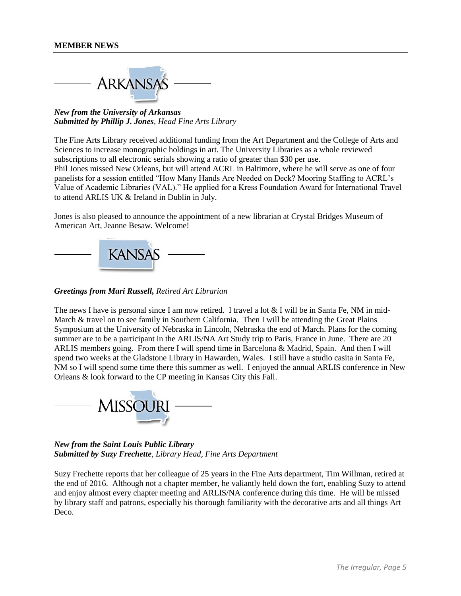

*New from the University of Arkansas Submitted by Phillip J. Jones, Head Fine Arts Library*

The Fine Arts Library received additional funding from the Art Department and the College of Arts and Sciences to increase monographic holdings in art. The University Libraries as a whole reviewed subscriptions to all electronic serials showing a ratio of greater than \$30 per use. Phil Jones missed New Orleans, but will attend ACRL in Baltimore, where he will serve as one of four panelists for a session entitled "How Many Hands Are Needed on Deck? Mooring Staffing to ACRL's Value of Academic Libraries (VAL)." He applied for a Kress Foundation Award for International Travel to attend ARLIS UK & Ireland in Dublin in July.

Jones is also pleased to announce the appointment of a new librarian at Crystal Bridges Museum of American Art, Jeanne Besaw. Welcome!



*Greetings from Mari Russell, Retired Art Librarian*

The news I have is personal since I am now retired. I travel a lot  $\&$  I will be in Santa Fe, NM in mid-March & travel on to see family in Southern California. Then I will be attending the Great Plains Symposium at the University of Nebraska in Lincoln, Nebraska the end of March. Plans for the coming summer are to be a participant in the ARLIS/NA Art Study trip to Paris, France in June. There are 20 ARLIS members going. From there I will spend time in Barcelona & Madrid, Spain. And then I will spend two weeks at the Gladstone Library in Hawarden, Wales. I still have a studio casita in Santa Fe, NM so I will spend some time there this summer as well. I enjoyed the annual ARLIS conference in New Orleans & look forward to the CP meeting in Kansas City this Fall.



*New from the Saint Louis Public Library Submitted by Suzy Frechette*, *Library Head, Fine Arts Department*

Suzy Frechette reports that her colleague of 25 years in the Fine Arts department, Tim Willman, retired at the end of 2016. Although not a chapter member, he valiantly held down the fort, enabling Suzy to attend and enjoy almost every chapter meeting and ARLIS/NA conference during this time. He will be missed by library staff and patrons, especially his thorough familiarity with the decorative arts and all things Art Deco.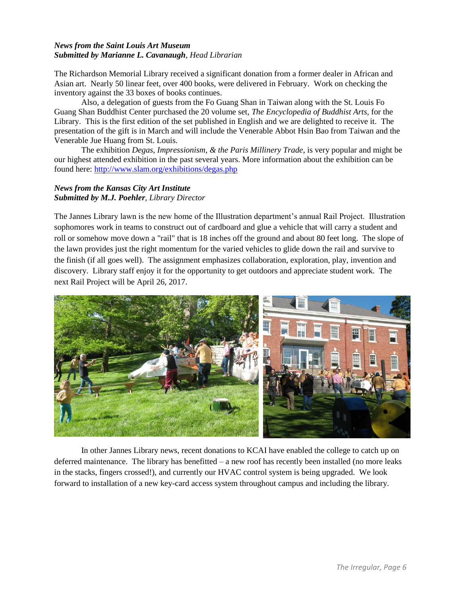#### *News from the Saint Louis Art Museum Submitted by Marianne L. Cavanaugh*, *Head Librarian*

The Richardson Memorial Library received a significant donation from a former dealer in African and Asian art. Nearly 50 linear feet, over 400 books, were delivered in February. Work on checking the inventory against the 33 boxes of books continues.

Also, a delegation of guests from the Fo Guang Shan in Taiwan along with the St. Louis Fo Guang Shan Buddhist Center purchased the 20 volume set, *The Encyclopedia of Buddhist Arts,* for the Library. This is the first edition of the set published in English and we are delighted to receive it. The presentation of the gift is in March and will include the Venerable Abbot Hsin Bao from Taiwan and the Venerable Jue Huang from St. Louis.

The exhibition *Degas, Impressionism, & the Paris Millinery Trade*, is very popular and might be our highest attended exhibition in the past several years. More information about the exhibition can be found here:<http://www.slam.org/exhibitions/degas.php>

#### *News from the Kansas City Art Institute Submitted by M.J. Poehler, Library Director*

The Jannes Library lawn is the new home of the Illustration department's annual Rail Project. Illustration sophomores work in teams to construct out of cardboard and glue a vehicle that will carry a student and roll or somehow move down a "rail" that is 18 inches off the ground and about 80 feet long. The slope of the lawn provides just the right momentum for the varied vehicles to glide down the rail and survive to the finish (if all goes well). The assignment emphasizes collaboration, exploration, play, invention and discovery. Library staff enjoy it for the opportunity to get outdoors and appreciate student work. The next Rail Project will be April 26, 2017.



In other Jannes Library news, recent donations to KCAI have enabled the college to catch up on deferred maintenance. The library has benefitted – a new roof has recently been installed (no more leaks in the stacks, fingers crossed!), and currently our HVAC control system is being upgraded. We look forward to installation of a new key-card access system throughout campus and including the library.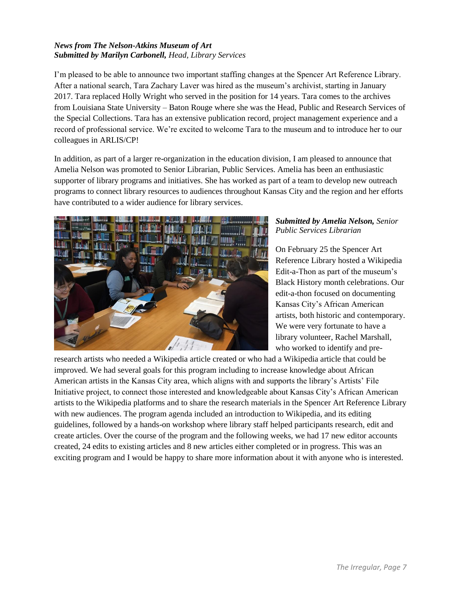#### *News from The Nelson-Atkins Museum of Art Submitted by Marilyn Carbonell, Head, Library Services*

I'm pleased to be able to announce two important staffing changes at the Spencer Art Reference Library. After a national search, Tara Zachary Laver was hired as the museum's archivist, starting in January 2017. Tara replaced Holly Wright who served in the position for 14 years. Tara comes to the archives from Louisiana State University – Baton Rouge where she was the Head, Public and Research Services of the Special Collections. Tara has an extensive publication record, project management experience and a record of professional service. We're excited to welcome Tara to the museum and to introduce her to our colleagues in ARLIS/CP!

In addition, as part of a larger re-organization in the education division, I am pleased to announce that Amelia Nelson was promoted to Senior Librarian, Public Services. Amelia has been an enthusiastic supporter of library programs and initiatives. She has worked as part of a team to develop new outreach programs to connect library resources to audiences throughout Kansas City and the region and her efforts have contributed to a wider audience for library services.



#### *Submitted by Amelia Nelson, Senior Public Services Librarian*

On February 25 the Spencer Art Reference Library hosted a Wikipedia Edit-a-Thon as part of the museum's Black History month celebrations. Our edit-a-thon focused on documenting Kansas City's African American artists, both historic and contemporary. We were very fortunate to have a library volunteer, Rachel Marshall, who worked to identify and pre-

research artists who needed a Wikipedia article created or who had a Wikipedia article that could be improved. We had several goals for this program including to increase knowledge about African American artists in the Kansas City area, which aligns with and supports the library's Artists' File Initiative project, to connect those interested and knowledgeable about Kansas City's African American artists to the Wikipedia platforms and to share the research materials in the Spencer Art Reference Library with new audiences. The program agenda included an introduction to Wikipedia, and its editing guidelines, followed by a hands-on workshop where library staff helped participants research, edit and create articles. Over the course of the program and the following weeks, we had 17 new editor accounts created, 24 edits to existing articles and 8 new articles either completed or in progress. This was an exciting program and I would be happy to share more information about it with anyone who is interested.